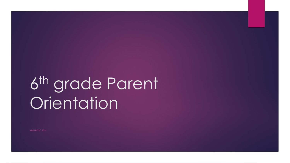# 6 th grade Parent **Orientation**

AUGUST 27, 2019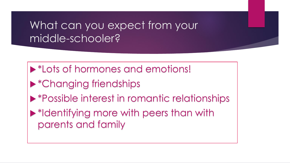### What can you expect from your middle-schooler?

- **Example 1 Set 10 Femotions:** A set 10 Femotions!
- \*Changing friendships
- **Example 12 Ferry in romantic relationships**
- \*Identifying more with peers than with parents and family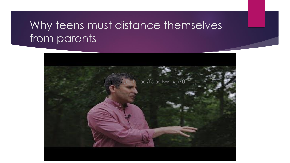### Why teens must distance themselves from parents

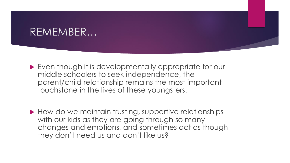#### REMEMBER…

- ▶ Even though it is developmentally appropriate for our middle schoolers to seek independence, the parent/child relationship remains the most important touchstone in the lives of these youngsters.
- How do we maintain trusting, supportive relationships with our kids as they are going through so many changes and emotions, and sometimes act as though they don't need us and don't like us?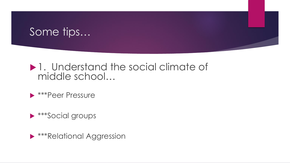### Some tips…

#### ▶ 1. Understand the social climate of middle school…

#### **Example Pressure**

 $\triangleright$  \*\*\*Social groups

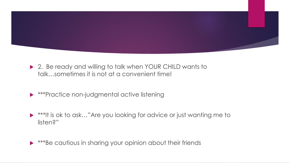

- ▶ 2. Be ready and willing to talk when YOUR CHILD wants to talk…sometimes it is not at a convenient time!
- $\triangleright$  \*\*\*Practice non-judgmental active listening
- ▶ \*\*\*It is ok to ask..."Are you looking for advice or just wanting me to listen?"

**\*\*\*Be cautious in sharing your opinion about their friends**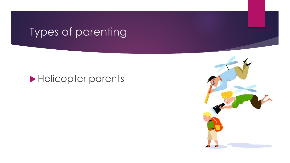## Types of parenting

#### Helicopter parents

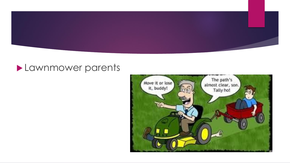

#### **Lawnmower parents**

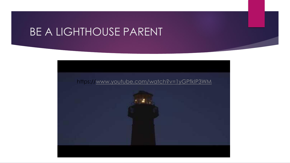### BE A LIGHTHOUSE PARENT

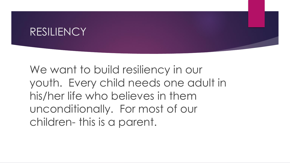#### RESILIENCY

We want to build resiliency in our youth. Every child needs one adult in his/her life who believes in them unconditionally. For most of our children- this is a parent.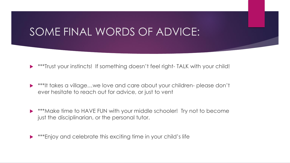### SOME FINAL WORDS OF ADVICE:

- \*\*\*Trust your instincts! If something doesn't feel right- TALK with your child!
- ▶ \*\*\*It takes a village...we love and care about your children-please don't ever hesitate to reach out for advice, or just to vent
- ▶ \*\*\*Make time to HAVE FUN with your middle schooler! Try not to become just the disciplinarian, or the personal tutor.
- \*\*\*Enjoy and celebrate this exciting time in your child's life